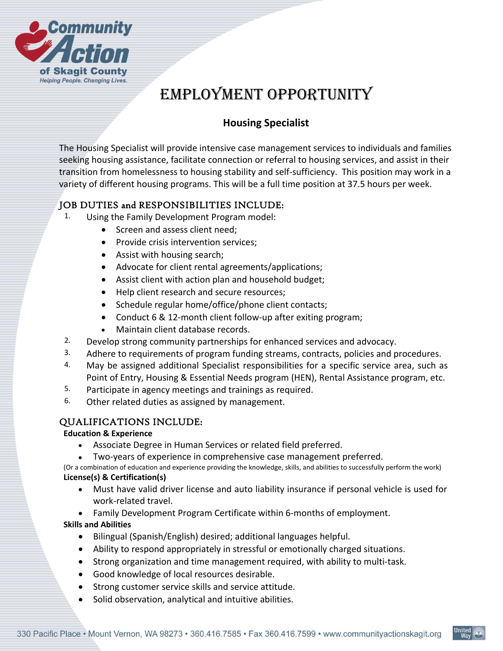

# EMPLOYMENT OPPORTUNITY

## **Housing Specialist**

The Housing Specialist will provide intensive case management services to individuals and families seeking housing assistance, facilitate connection or referral to housing services, and assist in their transition from homelessness to housing stability and self‐sufficiency. This position may work in a variety of different housing programs. This will be a full time position at 37.5 hours per week.

## JOB DUTIES and RESPONSIBILITIES INCLUDE:

- 1. Using the Family Development Program model:
	- Screen and assess client need;
	- Provide crisis intervention services;
	- Assist with housing search;
	- Advocate for client rental agreements/applications;
	- Assist client with action plan and household budget;
	- Help client research and secure resources;
	- Schedule regular home/office/phone client contacts;
	- Conduct 6 & 12-month client follow-up after exiting program;
	- Maintain client database records.
- 2. Develop strong community partnerships for enhanced services and advocacy.
- 3. Adhere to requirements of program funding streams, contracts, policies and procedures.
- 4. May be assigned additional Specialist responsibilities for a specific service area, such as Point of Entry, Housing & Essential Needs program (HEN), Rental Assistance program, etc.
- 5. Participate in agency meetings and trainings as required.
- 6. Other related duties as assigned by management.

## QUALIFICATIONS INCLUDE:

#### **Education & Experience**

- Associate Degree in Human Services or related field preferred.
- Two-years of experience in comprehensive case management preferred.

(Or a combination of education and experience providing the knowledge, skills, and abilities to successfully perform the work) **License(s) & Certification(s)** 

- Must have valid driver license and auto liability insurance if personal vehicle is used for work‐related travel.
- Family Development Program Certificate within 6‐months of employment.

## **Skills and Abilities**

- Bilingual (Spanish/English) desired; additional languages helpful.
- Ability to respond appropriately in stressful or emotionally charged situations.
- Strong organization and time management required, with ability to multi-task.
- Good knowledge of local resources desirable.
- Strong customer service skills and service attitude.
- Solid observation, analytical and intuitive abilities.